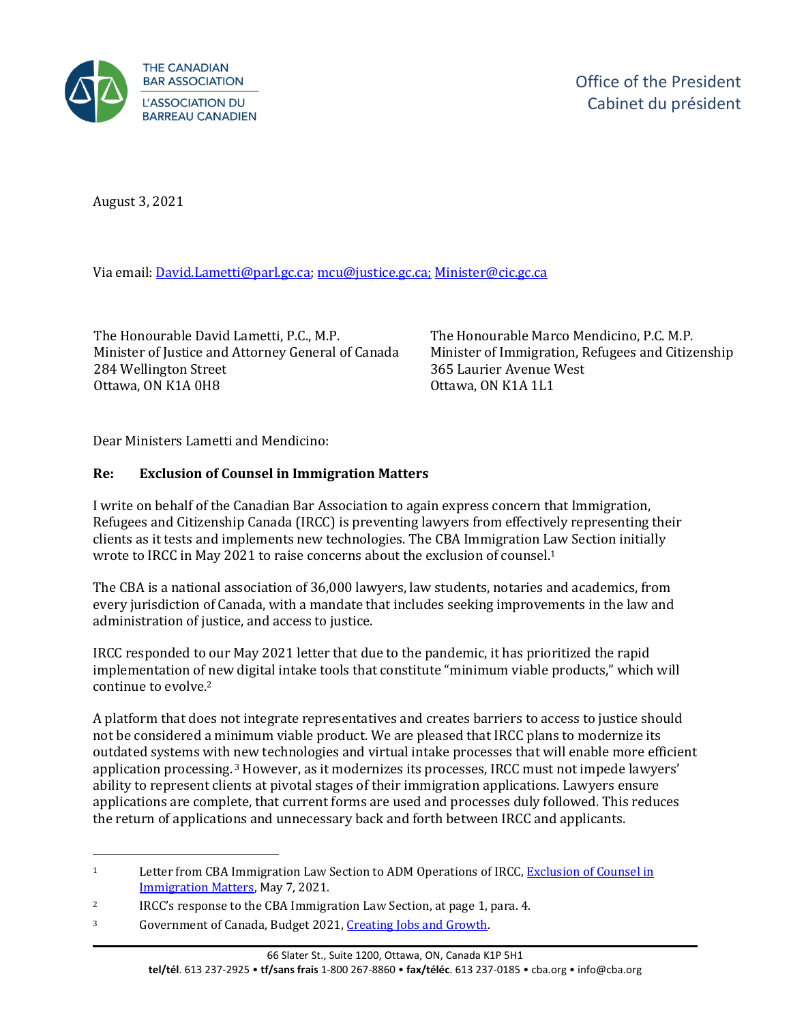

August 3, 2021

Via email: [David.Lametti@parl.gc.ca;](mailto:David.Lametti@parl.gc.ca) [mcu@justice.gc.ca;](mailto:mcu@justice.gc.ca) [Minister@cic.gc.ca](mailto:Minister@cic.gc.ca)

The Honourable David Lametti, P.C., M.P. Minister of Justice and Attorney General of Canada 284 Wellington Street Ottawa, ON K1A 0H8

The Honourable Marco Mendicino, P.C. M.P. Minister of Immigration, Refugees and Citizenship 365 Laurier Avenue West Ottawa, ON K1A 1L1

Dear Ministers Lametti and Mendicino:

## **Re: Exclusion of Counsel in Immigration Matters**

I write on behalf of the Canadian Bar Association to again express concern that Immigration, Refugees and Citizenship Canada (IRCC) is preventing lawyers from effectively representing their clients as it tests and implements new technologies. The CBA Immigration Law Section initially wrote to IRCC in May 2021 to raise concerns about the exclusion of counsel.<sup>1</sup>

The CBA is a national association of 36,000 lawyers, law students, notaries and academics, from every jurisdiction of Canada, with a mandate that includes seeking improvements in the law and administration of justice, and access to justice.

IRCC responded to our May 2021 letter that due to the pandemic, it has prioritized the rapid implementation of new digital intake tools that constitute "minimum viable products," which will continue to evolve.<sup>2</sup>

A platform that does not integrate representatives and creates barriers to access to justice should not be considered a minimum viable product. We are pleased that IRCC plans to modernize its outdated systems with new technologies and virtual intake processes that will enable more efficient application processing. <sup>3</sup> However, as it modernizes its processes, IRCC must not impede lawyers' ability to represent clients at pivotal stages of their immigration applications. Lawyers ensure applications are complete, that current forms are used and processes duly followed. This reduces the return of applications and unnecessary back and forth between IRCC and applicants.

<sup>1</sup> Letter from CBA Immigration Law Section to ADM Operations of IRCC, [Exclusion of Counsel in](https://www.cba.org/CMSPages/GetFile.aspx?guid=a9a14ce2-719a-4a16-b5fe-60a4ac526ba1) [Immigration Matters,](https://www.cba.org/CMSPages/GetFile.aspx?guid=a9a14ce2-719a-4a16-b5fe-60a4ac526ba1) May 7, 2021.

<sup>&</sup>lt;sup>2</sup> IRCC's response to the CBA Immigration Law Section, at page 1, para. 4.

<sup>3</sup> Government of Canada, Budget 2021[, Creating Jobs and Growth.](http://www.budget.gc.ca/2021/report-rapport/p2-en.html)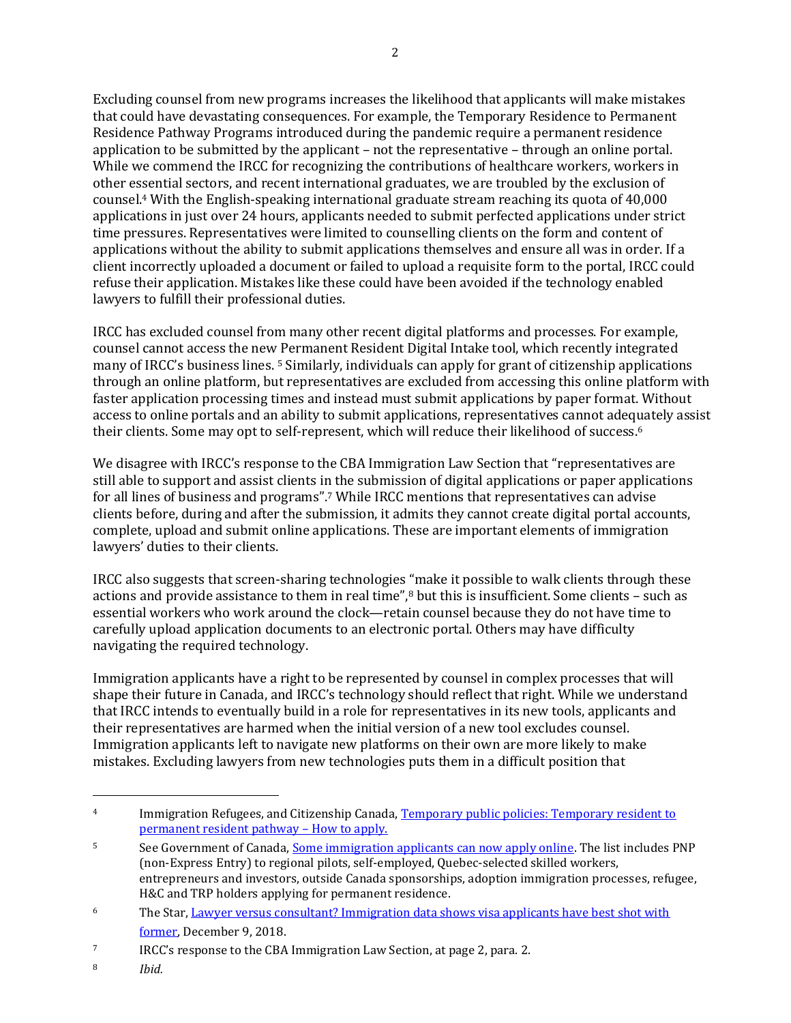Excluding counsel from new programs increases the likelihood that applicants will make mistakes that could have devastating consequences. For example, the Temporary Residence to Permanent Residence Pathway Programs introduced during the pandemic require a permanent residence application to be submitted by the applicant – not the representative – through an online portal. While we commend the IRCC for recognizing the contributions of healthcare workers, workers in other essential sectors, and recent international graduates, we are troubled by the exclusion of counsel.<sup>4</sup> With the English-speaking international graduate stream reaching its quota of 40,000 applications in just over 24 hours, applicants needed to submit perfected applications under strict time pressures. Representatives were limited to counselling clients on the form and content of applications without the ability to submit applications themselves and ensure all was in order. If a client incorrectly uploaded a document or failed to upload a requisite form to the portal, IRCC could refuse their application. Mistakes like these could have been avoided if the technology enabled lawyers to fulfill their professional duties.

IRCC has excluded counsel from many other recent digital platforms and processes. For example, counsel cannot access the new Permanent Resident Digital Intake tool, which recently integrated many of IRCC's business lines. <sup>5</sup> Similarly, individuals can apply for grant of citizenship applications through an online platform, but representatives are excluded from accessing this online platform with faster application processing times and instead must submit applications by paper format. Without access to online portals and an ability to submit applications, representatives cannot adequately assist their clients. Some may opt to self-represent, which will reduce their likelihood of success. 6

We disagree with IRCC's response to the CBA Immigration Law Section that "representatives are still able to support and assist clients in the submission of digital applications or paper applications for all lines of business and programs".<sup>7</sup> While IRCC mentions that representatives can advise clients before, during and after the submission, it admits they cannot create digital portal accounts, complete, upload and submit online applications. These are important elements of immigration lawyers' duties to their clients.

IRCC also suggests that screen-sharing technologies "make it possible to walk clients through these actions and provide assistance to them in real time",<sup>8</sup> but this is insufficient. Some clients - such as essential workers who work around the clock—retain counsel because they do not have time to carefully upload application documents to an electronic portal. Others may have difficulty navigating the required technology.

Immigration applicants have a right to be represented by counsel in complex processes that will shape their future in Canada, and IRCC's technology should reflect that right. While we understand that IRCC intends to eventually build in a role for representatives in its new tools, applicants and their representatives are harmed when the initial version of a new tool excludes counsel. Immigration applicants left to navigate new platforms on their own are more likely to make mistakes. Excluding lawyers from new technologies puts them in a difficult position that

<sup>4</sup> Immigration Refugees, and Citizenship Canada[, Temporary public policies: Temporary resident to](http://www.canada.ca/en/immigration-refugees-citizenship/services/immigrate-canada/tr-pr-pathway/how-to-apply.html)  [permanent resident pathway](http://www.canada.ca/en/immigration-refugees-citizenship/services/immigrate-canada/tr-pr-pathway/how-to-apply.html) – How to apply.

<sup>5</sup> See Government of Canada[, Some immigration applicants can now apply online.](http://www.canada.ca/en/immigration-refugees-citizenship/services/immigrate-canada/how-to-apply-online.html) The list includes PNP (non-Express Entry) to regional pilots, self-employed, Quebec-selected skilled workers, entrepreneurs and investors, outside Canada sponsorships, adoption immigration processes, refugee, H&C and TRP holders applying for permanent residence.

<sup>6</sup> The Star, [Lawyer versus consultant? Immigration data shows visa applicants have best shot with](https://www.thestar.com/news/canada/2018/12/09/lawyer-versus-consultant-immigration-data-shows-visa-applicants-have-best-shot-with-former.html) [former,](https://www.thestar.com/news/canada/2018/12/09/lawyer-versus-consultant-immigration-data-shows-visa-applicants-have-best-shot-with-former.html) December 9, 2018.

<sup>7</sup> IRCC's response to the CBA Immigration Law Section, at page 2, para. 2.

<sup>8</sup> *Ibid.*